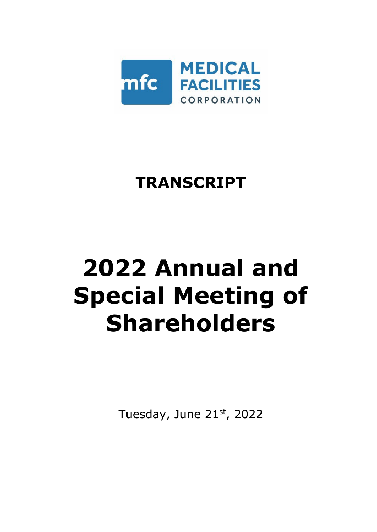

# **TRANSCRIPT**

# **2022 Annual and Special Meeting of Shareholders**

Tuesday, June 21st, 2022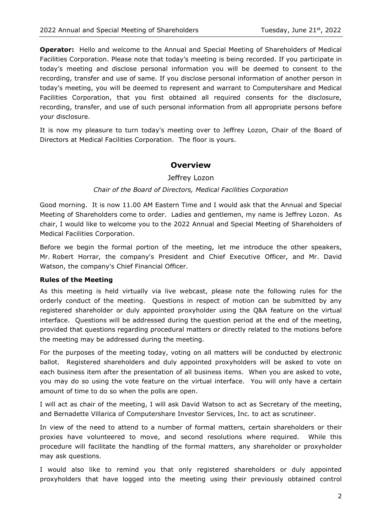**Operator:** Hello and welcome to the Annual and Special Meeting of Shareholders of Medical Facilities Corporation. Please note that today's meeting is being recorded. If you participate in today's meeting and disclose personal information you will be deemed to consent to the recording, transfer and use of same. If you disclose personal information of another person in today's meeting, you will be deemed to represent and warrant to Computershare and Medical Facilities Corporation, that you first obtained all required consents for the disclosure, recording, transfer, and use of such personal information from all appropriate persons before your disclosure.

It is now my pleasure to turn today's meeting over to Jeffrey Lozon, Chair of the Board of Directors at Medical Facilities Corporation. The floor is yours.

# **Overview**

Jeffrey Lozon

#### *Chair of the Board of Directors, Medical Facilities Corporation*

Good morning. It is now 11.00 AM Eastern Time and I would ask that the Annual and Special Meeting of Shareholders come to order. Ladies and gentlemen, my name is Jeffrey Lozon. As chair, I would like to welcome you to the 2022 Annual and Special Meeting of Shareholders of Medical Facilities Corporation.

Before we begin the formal portion of the meeting, let me introduce the other speakers, Mr. Robert Horrar, the company's President and Chief Executive Officer, and Mr. David Watson, the company's Chief Financial Officer.

#### **Rules of the Meeting**

As this meeting is held virtually via live webcast, please note the following rules for the orderly conduct of the meeting. Questions in respect of motion can be submitted by any registered shareholder or duly appointed proxyholder using the Q&A feature on the virtual interface. Questions will be addressed during the question period at the end of the meeting, provided that questions regarding procedural matters or directly related to the motions before the meeting may be addressed during the meeting.

For the purposes of the meeting today, voting on all matters will be conducted by electronic ballot. Registered shareholders and duly appointed proxyholders will be asked to vote on each business item after the presentation of all business items. When you are asked to vote, you may do so using the vote feature on the virtual interface. You will only have a certain amount of time to do so when the polls are open.

I will act as chair of the meeting, I will ask David Watson to act as Secretary of the meeting, and Bernadette Villarica of Computershare Investor Services, Inc. to act as scrutineer.

In view of the need to attend to a number of formal matters, certain shareholders or their proxies have volunteered to move, and second resolutions where required. While this procedure will facilitate the handling of the formal matters, any shareholder or proxyholder may ask questions.

I would also like to remind you that only registered shareholders or duly appointed proxyholders that have logged into the meeting using their previously obtained control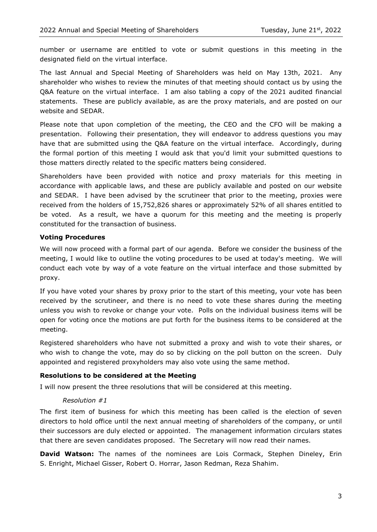number or username are entitled to vote or submit questions in this meeting in the designated field on the virtual interface.

The last Annual and Special Meeting of Shareholders was held on May 13th, 2021. Any shareholder who wishes to review the minutes of that meeting should contact us by using the Q&A feature on the virtual interface. I am also tabling a copy of the 2021 audited financial statements. These are publicly available, as are the proxy materials, and are posted on our website and SEDAR.

Please note that upon completion of the meeting, the CEO and the CFO will be making a presentation. Following their presentation, they will endeavor to address questions you may have that are submitted using the Q&A feature on the virtual interface. Accordingly, during the formal portion of this meeting I would ask that you'd limit your submitted questions to those matters directly related to the specific matters being considered.

Shareholders have been provided with notice and proxy materials for this meeting in accordance with applicable laws, and these are publicly available and posted on our website and SEDAR. I have been advised by the scrutineer that prior to the meeting, proxies were received from the holders of 15,752,826 shares or approximately 52% of all shares entitled to be voted. As a result, we have a quorum for this meeting and the meeting is properly constituted for the transaction of business.

#### **Voting Procedures**

We will now proceed with a formal part of our agenda. Before we consider the business of the meeting, I would like to outline the voting procedures to be used at today's meeting. We will conduct each vote by way of a vote feature on the virtual interface and those submitted by proxy.

If you have voted your shares by proxy prior to the start of this meeting, your vote has been received by the scrutineer, and there is no need to vote these shares during the meeting unless you wish to revoke or change your vote. Polls on the individual business items will be open for voting once the motions are put forth for the business items to be considered at the meeting.

Registered shareholders who have not submitted a proxy and wish to vote their shares, or who wish to change the vote, may do so by clicking on the poll button on the screen. Duly appointed and registered proxyholders may also vote using the same method.

#### **Resolutions to be considered at the Meeting**

I will now present the three resolutions that will be considered at this meeting.

#### *Resolution #1*

The first item of business for which this meeting has been called is the election of seven directors to hold office until the next annual meeting of shareholders of the company, or until their successors are duly elected or appointed. The management information circulars states that there are seven candidates proposed. The Secretary will now read their names.

**David Watson:** The names of the nominees are Lois Cormack, Stephen Dineley, Erin S. Enright, Michael Gisser, Robert O. Horrar, Jason Redman, Reza Shahim.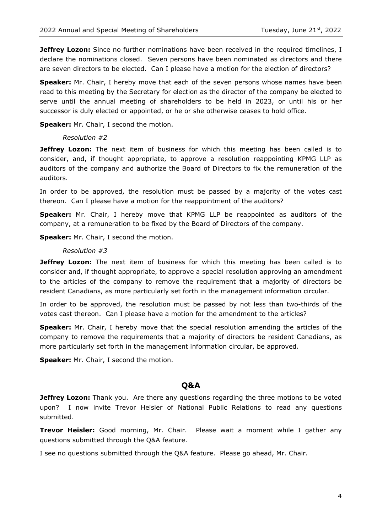**Jeffrey Lozon:** Since no further nominations have been received in the required timelines, I declare the nominations closed. Seven persons have been nominated as directors and there are seven directors to be elected. Can I please have a motion for the election of directors?

**Speaker:** Mr. Chair, I hereby move that each of the seven persons whose names have been read to this meeting by the Secretary for election as the director of the company be elected to serve until the annual meeting of shareholders to be held in 2023, or until his or her successor is duly elected or appointed, or he or she otherwise ceases to hold office.

**Speaker:** Mr. Chair, I second the motion.

#### *Resolution #2*

**Jeffrey Lozon:** The next item of business for which this meeting has been called is to consider, and, if thought appropriate, to approve a resolution reappointing KPMG LLP as auditors of the company and authorize the Board of Directors to fix the remuneration of the auditors.

In order to be approved, the resolution must be passed by a majority of the votes cast thereon. Can I please have a motion for the reappointment of the auditors?

**Speaker:** Mr. Chair, I hereby move that KPMG LLP be reappointed as auditors of the company, at a remuneration to be fixed by the Board of Directors of the company.

**Speaker:** Mr. Chair, I second the motion.

#### *Resolution #3*

**Jeffrey Lozon:** The next item of business for which this meeting has been called is to consider and, if thought appropriate, to approve a special resolution approving an amendment to the articles of the company to remove the requirement that a majority of directors be resident Canadians, as more particularly set forth in the management information circular.

In order to be approved, the resolution must be passed by not less than two-thirds of the votes cast thereon. Can I please have a motion for the amendment to the articles?

**Speaker:** Mr. Chair, I hereby move that the special resolution amending the articles of the company to remove the requirements that a majority of directors be resident Canadians, as more particularly set forth in the management information circular, be approved.

**Speaker:** Mr. Chair, I second the motion.

# **Q&A**

**Jeffrey Lozon:** Thank you. Are there any questions regarding the three motions to be voted upon? I now invite Trevor Heisler of National Public Relations to read any questions submitted.

**Trevor Heisler:** Good morning, Mr. Chair. Please wait a moment while I gather any questions submitted through the Q&A feature.

I see no questions submitted through the Q&A feature. Please go ahead, Mr. Chair.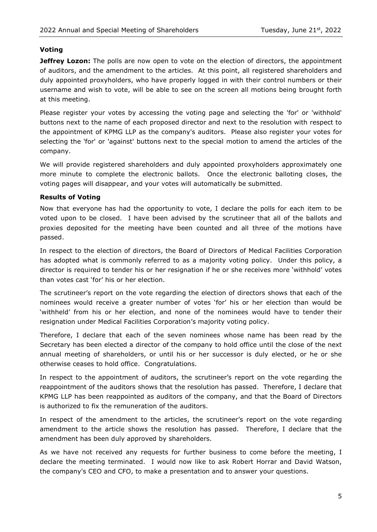#### **Voting**

**Jeffrey Lozon:** The polls are now open to vote on the election of directors, the appointment of auditors, and the amendment to the articles. At this point, all registered shareholders and duly appointed proxyholders, who have properly logged in with their control numbers or their username and wish to vote, will be able to see on the screen all motions being brought forth at this meeting.

Please register your votes by accessing the voting page and selecting the 'for' or 'withhold' buttons next to the name of each proposed director and next to the resolution with respect to the appointment of KPMG LLP as the company's auditors. Please also register your votes for selecting the 'for' or 'against' buttons next to the special motion to amend the articles of the company.

We will provide registered shareholders and duly appointed proxyholders approximately one more minute to complete the electronic ballots. Once the electronic balloting closes, the voting pages will disappear, and your votes will automatically be submitted.

#### **Results of Voting**

Now that everyone has had the opportunity to vote, I declare the polls for each item to be voted upon to be closed. I have been advised by the scrutineer that all of the ballots and proxies deposited for the meeting have been counted and all three of the motions have passed.

In respect to the election of directors, the Board of Directors of Medical Facilities Corporation has adopted what is commonly referred to as a majority voting policy. Under this policy, a director is required to tender his or her resignation if he or she receives more 'withhold' votes than votes cast 'for' his or her election.

The scrutineer's report on the vote regarding the election of directors shows that each of the nominees would receive a greater number of votes 'for' his or her election than would be 'withheld' from his or her election, and none of the nominees would have to tender their resignation under Medical Facilities Corporation's majority voting policy.

Therefore, I declare that each of the seven nominees whose name has been read by the Secretary has been elected a director of the company to hold office until the close of the next annual meeting of shareholders, or until his or her successor is duly elected, or he or she otherwise ceases to hold office. Congratulations.

In respect to the appointment of auditors, the scrutineer's report on the vote regarding the reappointment of the auditors shows that the resolution has passed. Therefore, I declare that KPMG LLP has been reappointed as auditors of the company, and that the Board of Directors is authorized to fix the remuneration of the auditors.

In respect of the amendment to the articles, the scrutineer's report on the vote regarding amendment to the article shows the resolution has passed. Therefore, I declare that the amendment has been duly approved by shareholders.

As we have not received any requests for further business to come before the meeting, I declare the meeting terminated. I would now like to ask Robert Horrar and David Watson, the company's CEO and CFO, to make a presentation and to answer your questions.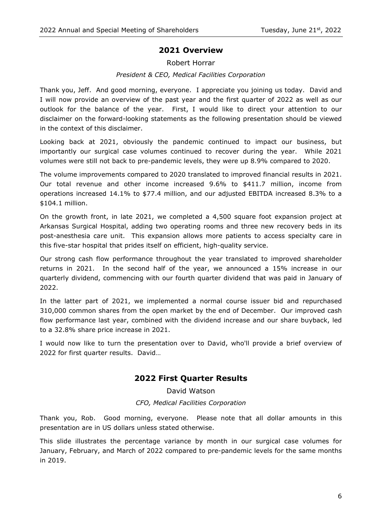# **2021 Overview**

# Robert Horrar

# *President & CEO, Medical Facilities Corporation*

Thank you, Jeff. And good morning, everyone. I appreciate you joining us today. David and I will now provide an overview of the past year and the first quarter of 2022 as well as our outlook for the balance of the year. First, I would like to direct your attention to our disclaimer on the forward-looking statements as the following presentation should be viewed in the context of this disclaimer.

Looking back at 2021, obviously the pandemic continued to impact our business, but importantly our surgical case volumes continued to recover during the year. While 2021 volumes were still not back to pre-pandemic levels, they were up 8.9% compared to 2020.

The volume improvements compared to 2020 translated to improved financial results in 2021. Our total revenue and other income increased 9.6% to \$411.7 million, income from operations increased 14.1% to \$77.4 million, and our adjusted EBITDA increased 8.3% to a \$104.1 million.

On the growth front, in late 2021, we completed a 4,500 square foot expansion project at Arkansas Surgical Hospital, adding two operating rooms and three new recovery beds in its post-anesthesia care unit. This expansion allows more patients to access specialty care in this five-star hospital that prides itself on efficient, high-quality service.

Our strong cash flow performance throughout the year translated to improved shareholder returns in 2021. In the second half of the year, we announced a 15% increase in our quarterly dividend, commencing with our fourth quarter dividend that was paid in January of 2022.

In the latter part of 2021, we implemented a normal course issuer bid and repurchased 310,000 common shares from the open market by the end of December. Our improved cash flow performance last year, combined with the dividend increase and our share buyback, led to a 32.8% share price increase in 2021.

I would now like to turn the presentation over to David, who'll provide a brief overview of 2022 for first quarter results. David…

# **2022 First Quarter Results**

David Watson

# *CFO, Medical Facilities Corporation*

Thank you, Rob. Good morning, everyone. Please note that all dollar amounts in this presentation are in US dollars unless stated otherwise.

This slide illustrates the percentage variance by month in our surgical case volumes for January, February, and March of 2022 compared to pre-pandemic levels for the same months in 2019.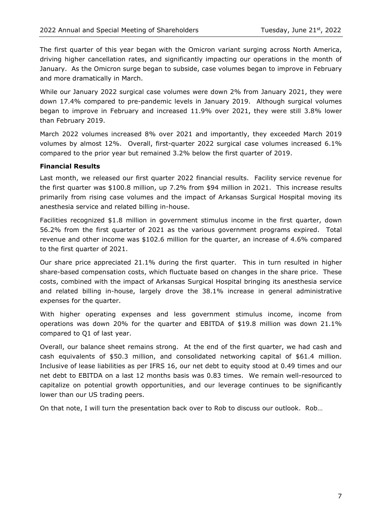The first quarter of this year began with the Omicron variant surging across North America, driving higher cancellation rates, and significantly impacting our operations in the month of January. As the Omicron surge began to subside, case volumes began to improve in February and more dramatically in March.

While our January 2022 surgical case volumes were down 2% from January 2021, they were down 17.4% compared to pre-pandemic levels in January 2019. Although surgical volumes began to improve in February and increased 11.9% over 2021, they were still 3.8% lower than February 2019.

March 2022 volumes increased 8% over 2021 and importantly, they exceeded March 2019 volumes by almost 12%. Overall, first-quarter 2022 surgical case volumes increased 6.1% compared to the prior year but remained 3.2% below the first quarter of 2019.

#### **Financial Results**

Last month, we released our first quarter 2022 financial results. Facility service revenue for the first quarter was \$100.8 million, up 7.2% from \$94 million in 2021. This increase results primarily from rising case volumes and the impact of Arkansas Surgical Hospital moving its anesthesia service and related billing in-house.

Facilities recognized \$1.8 million in government stimulus income in the first quarter, down 56.2% from the first quarter of 2021 as the various government programs expired. Total revenue and other income was \$102.6 million for the quarter, an increase of 4.6% compared to the first quarter of 2021.

Our share price appreciated 21.1% during the first quarter. This in turn resulted in higher share-based compensation costs, which fluctuate based on changes in the share price. These costs, combined with the impact of Arkansas Surgical Hospital bringing its anesthesia service and related billing in-house, largely drove the 38.1% increase in general administrative expenses for the quarter.

With higher operating expenses and less government stimulus income, income from operations was down 20% for the quarter and EBITDA of \$19.8 million was down 21.1% compared to Q1 of last year.

Overall, our balance sheet remains strong. At the end of the first quarter, we had cash and cash equivalents of \$50.3 million, and consolidated networking capital of \$61.4 million. Inclusive of lease liabilities as per IFRS 16, our net debt to equity stood at 0.49 times and our net debt to EBITDA on a last 12 months basis was 0.83 times. We remain well-resourced to capitalize on potential growth opportunities, and our leverage continues to be significantly lower than our US trading peers.

On that note, I will turn the presentation back over to Rob to discuss our outlook. Rob…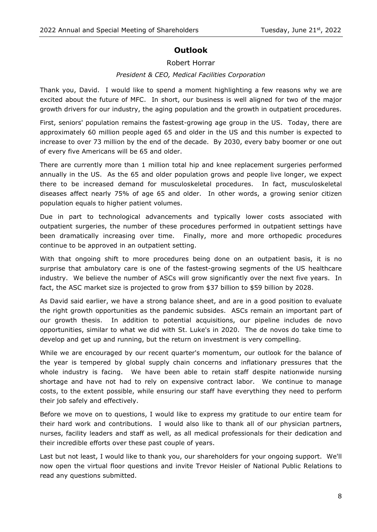# **Outlook**

# Robert Horrar

# *President & CEO, Medical Facilities Corporation*

Thank you, David. I would like to spend a moment highlighting a few reasons why we are excited about the future of MFC. In short, our business is well aligned for two of the major growth drivers for our industry, the aging population and the growth in outpatient procedures.

First, seniors' population remains the fastest-growing age group in the US. Today, there are approximately 60 million people aged 65 and older in the US and this number is expected to increase to over 73 million by the end of the decade. By 2030, every baby boomer or one out of every five Americans will be 65 and older.

There are currently more than 1 million total hip and knee replacement surgeries performed annually in the US. As the 65 and older population grows and people live longer, we expect there to be increased demand for musculoskeletal procedures. In fact, musculoskeletal diseases affect nearly 75% of age 65 and older. In other words, a growing senior citizen population equals to higher patient volumes.

Due in part to technological advancements and typically lower costs associated with outpatient surgeries, the number of these procedures performed in outpatient settings have been dramatically increasing over time. Finally, more and more orthopedic procedures continue to be approved in an outpatient setting.

With that ongoing shift to more procedures being done on an outpatient basis, it is no surprise that ambulatory care is one of the fastest-growing segments of the US healthcare industry. We believe the number of ASCs will grow significantly over the next five years. In fact, the ASC market size is projected to grow from \$37 billion to \$59 billion by 2028.

As David said earlier, we have a strong balance sheet, and are in a good position to evaluate the right growth opportunities as the pandemic subsides. ASCs remain an important part of our growth thesis. In addition to potential acquisitions, our pipeline includes de novo opportunities, similar to what we did with St. Luke's in 2020. The de novos do take time to develop and get up and running, but the return on investment is very compelling.

While we are encouraged by our recent quarter's momentum, our outlook for the balance of the year is tempered by global supply chain concerns and inflationary pressures that the whole industry is facing. We have been able to retain staff despite nationwide nursing shortage and have not had to rely on expensive contract labor. We continue to manage costs, to the extent possible, while ensuring our staff have everything they need to perform their job safely and effectively.

Before we move on to questions, I would like to express my gratitude to our entire team for their hard work and contributions. I would also like to thank all of our physician partners, nurses, facility leaders and staff as well, as all medical professionals for their dedication and their incredible efforts over these past couple of years.

Last but not least, I would like to thank you, our shareholders for your ongoing support. We'll now open the virtual floor questions and invite Trevor Heisler of National Public Relations to read any questions submitted.